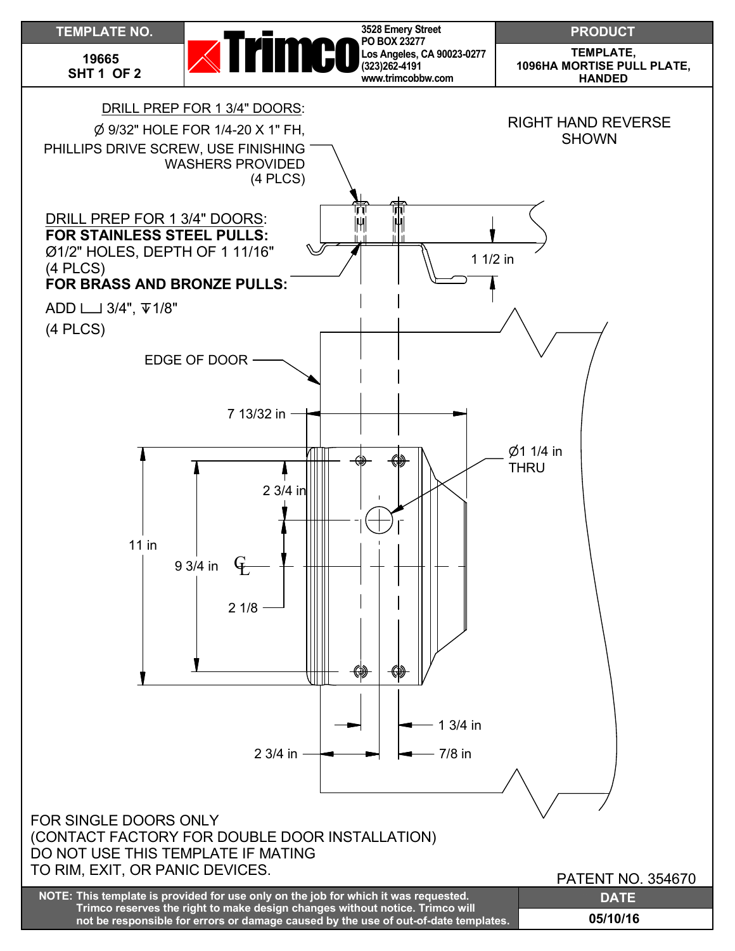